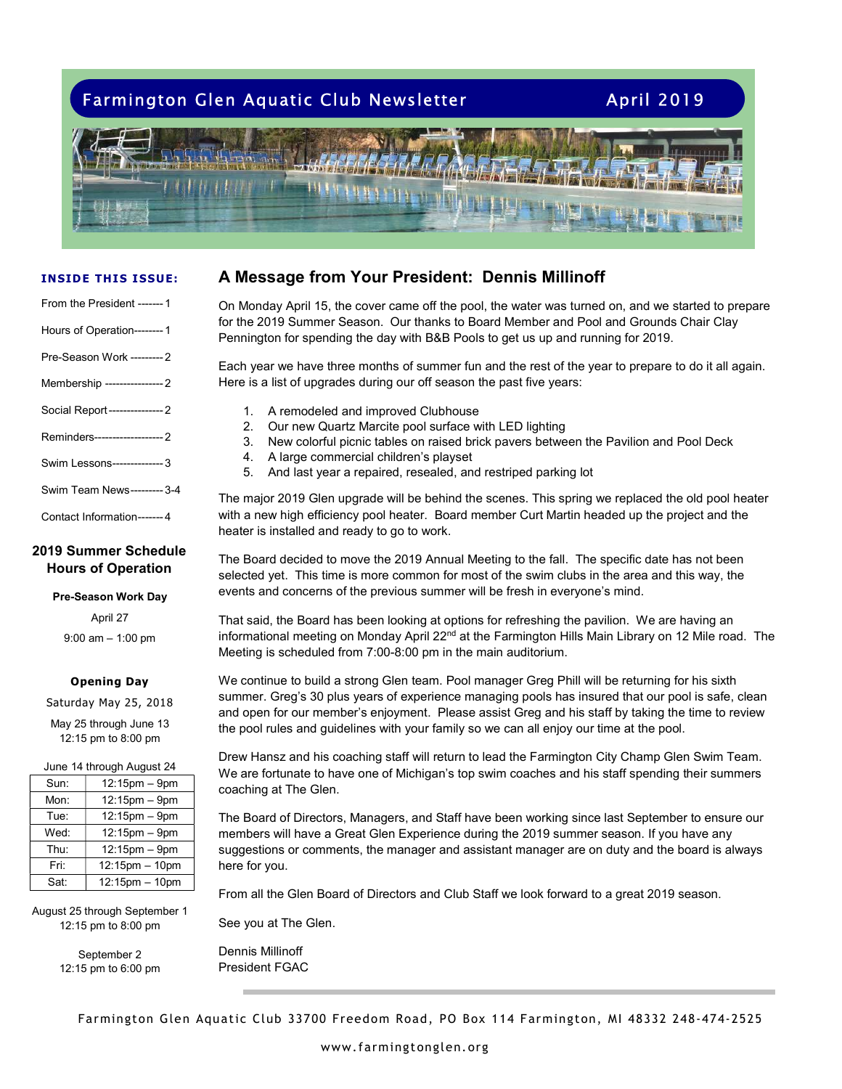# Farmington Glen Aquatic Club Newsletter **April 2019**



#### INSIDE THIS ISSUE:

| From the President -------1  |  |
|------------------------------|--|
| Hours of Operation---------1 |  |

| Pre-Season Work --------- 2       |
|-----------------------------------|
| Membership ----------------- 2    |
| Social Report------------------ 2 |

Reminders------------------- 2

- Swim Lessons -------------- 3
- Swim Team News --------- 3-4
- Contact Information ------- 4

## 2019 Summer Schedule Hours of Operation

#### Pre-Season Work Day

April 27

9:00 am – 1:00 pm

### Opening Day

Saturday May 25, 2018 May 25 through June 13 12:15 pm to 8:00 pm

| June 14 through August 24 |                |  |  |  |
|---------------------------|----------------|--|--|--|
| Sun:                      | 12:15pm - 9pm  |  |  |  |
| Mon:                      | 12:15pm - 9pm  |  |  |  |
| Tue:                      | 12:15pm - 9pm  |  |  |  |
| Wed:                      | 12:15pm - 9pm  |  |  |  |
| Thu:                      | 12:15pm - 9pm  |  |  |  |
| Fri:                      | 12:15pm - 10pm |  |  |  |
| Sat:                      | 12:15pm - 10pm |  |  |  |

August 25 through September 1 12:15 pm to 8:00 pm

> September 2 12:15 pm to 6:00 pm

# A Message from Your President: Dennis Millinoff

On Monday April 15, the cover came off the pool, the water was turned on, and we started to prepare for the 2019 Summer Season. Our thanks to Board Member and Pool and Grounds Chair Clay Pennington for spending the day with B&B Pools to get us up and running for 2019.

Each year we have three months of summer fun and the rest of the year to prepare to do it all again. Here is a list of upgrades during our off season the past five years:

- 1. A remodeled and improved Clubhouse
- 2. Our new Quartz Marcite pool surface with LED lighting
- 3. New colorful picnic tables on raised brick pavers between the Pavilion and Pool Deck
- 4. A large commercial children's playset
- 5. And last year a repaired, resealed, and restriped parking lot

The major 2019 Glen upgrade will be behind the scenes. This spring we replaced the old pool heater with a new high efficiency pool heater. Board member Curt Martin headed up the project and the heater is installed and ready to go to work.

The Board decided to move the 2019 Annual Meeting to the fall. The specific date has not been selected yet. This time is more common for most of the swim clubs in the area and this way, the events and concerns of the previous summer will be fresh in everyone's mind.

That said, the Board has been looking at options for refreshing the pavilion. We are having an informational meeting on Monday April 22<sup>nd</sup> at the Farmington Hills Main Library on 12 Mile road. The Meeting is scheduled from 7:00-8:00 pm in the main auditorium.

We continue to build a strong Glen team. Pool manager Greg Phill will be returning for his sixth summer. Greg's 30 plus years of experience managing pools has insured that our pool is safe, clean and open for our member's enjoyment. Please assist Greg and his staff by taking the time to review the pool rules and guidelines with your family so we can all enjoy our time at the pool.

Drew Hansz and his coaching staff will return to lead the Farmington City Champ Glen Swim Team. We are fortunate to have one of Michigan's top swim coaches and his staff spending their summers coaching at The Glen.

The Board of Directors, Managers, and Staff have been working since last September to ensure our members will have a Great Glen Experience during the 2019 summer season. If you have any suggestions or comments, the manager and assistant manager are on duty and the board is always here for you.

From all the Glen Board of Directors and Club Staff we look forward to a great 2019 season.

See you at The Glen.

Dennis Millinoff President FGAC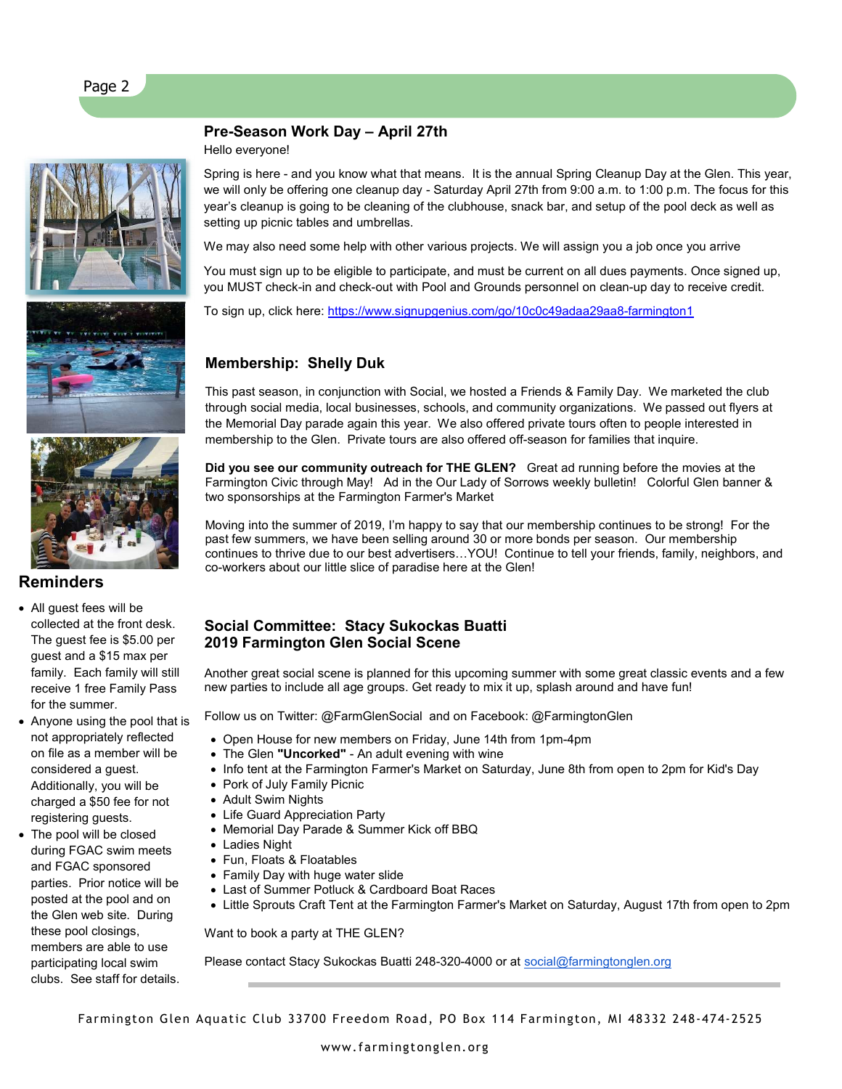





# Reminders

- All guest fees will be collected at the front desk. The guest fee is \$5.00 per guest and a \$15 max per family. Each family will still receive 1 free Family Pass for the summer.
- Anyone using the pool that is not appropriately reflected on file as a member will be considered a guest. Additionally, you will be charged a \$50 fee for not registering guests.
- The pool will be closed during FGAC swim meets and FGAC sponsored parties. Prior notice will be posted at the pool and on the Glen web site. During these pool closings, members are able to use participating local swim clubs. See staff for details.

# Pre-Season Work Day – April 27th

Hello everyone!

Spring is here - and you know what that means. It is the annual Spring Cleanup Day at the Glen. This year, we will only be offering one cleanup day - Saturday April 27th from 9:00 a.m. to 1:00 p.m. The focus for this year's cleanup is going to be cleaning of the clubhouse, snack bar, and setup of the pool deck as well as setting up picnic tables and umbrellas.

We may also need some help with other various projects. We will assign you a job once you arrive

You must sign up to be eligible to participate, and must be current on all dues payments. Once signed up, you MUST check-in and check-out with Pool and Grounds personnel on clean-up day to receive credit.

To sign up, click here: https://www.signupgenius.com/go/10c0c49adaa29aa8-farmington1

# Membership: Shelly Duk

This past season, in conjunction with Social, we hosted a Friends & Family Day. We marketed the club through social media, local businesses, schools, and community organizations. We passed out flyers at the Memorial Day parade again this year. We also offered private tours often to people interested in membership to the Glen. Private tours are also offered off-season for families that inquire.

Did you see our community outreach for THE GLEN? Great ad running before the movies at the Farmington Civic through May! Ad in the Our Lady of Sorrows weekly bulletin! Colorful Glen banner & two sponsorships at the Farmington Farmer's Market

Moving into the summer of 2019, I'm happy to say that our membership continues to be strong! For the past few summers, we have been selling around 30 or more bonds per season. Our membership continues to thrive due to our best advertisers…YOU! Continue to tell your friends, family, neighbors, and co-workers about our little slice of paradise here at the Glen!

# Social Committee: Stacy Sukockas Buatti 2019 Farmington Glen Social Scene

Another great social scene is planned for this upcoming summer with some great classic events and a few new parties to include all age groups. Get ready to mix it up, splash around and have fun!

Follow us on Twitter: @FarmGlenSocial and on Facebook: @FarmingtonGlen

- Open House for new members on Friday, June 14th from 1pm-4pm
- The Glen "Uncorked" An adult evening with wine
- Info tent at the Farmington Farmer's Market on Saturday, June 8th from open to 2pm for Kid's Day
- Pork of July Family Picnic
- Adult Swim Nights
- Life Guard Appreciation Party
- Memorial Day Parade & Summer Kick off BBQ
- Ladies Night
- Fun, Floats & Floatables
- Family Day with huge water slide
- Last of Summer Potluck & Cardboard Boat Races
- Little Sprouts Craft Tent at the Farmington Farmer's Market on Saturday, August 17th from open to 2pm

Want to book a party at THE GLEN?

Please contact Stacy Sukockas Buatti 248-320-4000 or at social@farmingtonglen.org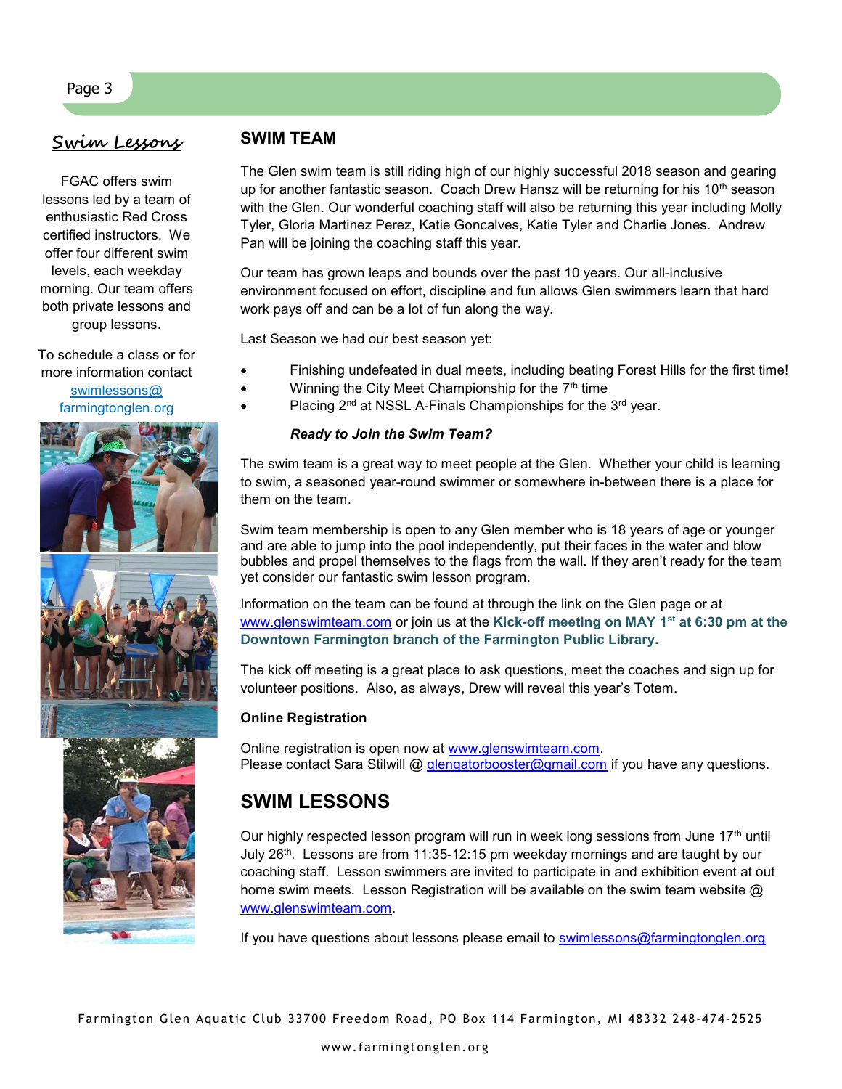# Swim Lessons

FGAC offers swim lessons led by a team of enthusiastic Red Cross certified instructors. We offer four different swim levels, each weekday morning. Our team offers both private lessons and group lessons.

To schedule a class or for more information contact swimlessons@ farmingtonglen.org



# SWIM TEAM

The Glen swim team is still riding high of our highly successful 2018 season and gearing up for another fantastic season. Coach Drew Hansz will be returning for his 10<sup>th</sup> season with the Glen. Our wonderful coaching staff will also be returning this year including Molly Tyler, Gloria Martinez Perez, Katie Goncalves, Katie Tyler and Charlie Jones. Andrew Pan will be joining the coaching staff this year.

Our team has grown leaps and bounds over the past 10 years. Our all-inclusive environment focused on effort, discipline and fun allows Glen swimmers learn that hard work pays off and can be a lot of fun along the way.

Last Season we had our best season yet:

- Finishing undefeated in dual meets, including beating Forest Hills for the first time!
- Winning the City Meet Championship for the 7<sup>th</sup> time
- Placing 2<sup>nd</sup> at NSSL A-Finals Championships for the 3<sup>rd</sup> year.

### Ready to Join the Swim Team?

The swim team is a great way to meet people at the Glen. Whether your child is learning to swim, a seasoned year-round swimmer or somewhere in-between there is a place for them on the team.

Swim team membership is open to any Glen member who is 18 years of age or younger and are able to jump into the pool independently, put their faces in the water and blow bubbles and propel themselves to the flags from the wall. If they aren't ready for the team yet consider our fantastic swim lesson program.

Information on the team can be found at through the link on the Glen page or at www.glenswimteam.com or join us at the Kick-off meeting on MAY 1<sup>st</sup> at 6:30 pm at the Downtown Farmington branch of the Farmington Public Library.

The kick off meeting is a great place to ask questions, meet the coaches and sign up for volunteer positions. Also, as always, Drew will reveal this year's Totem.

### Online Registration

Online registration is open now at www.glenswimteam.com. Please contact Sara Stilwill @ glengatorbooster@gmail.com if you have any questions.

# SWIM LESSONS

Our highly respected lesson program will run in week long sessions from June  $17<sup>th</sup>$  until July 26<sup>th</sup>. Lessons are from 11:35-12:15 pm weekday mornings and are taught by our coaching staff. Lesson swimmers are invited to participate in and exhibition event at out home swim meets. Lesson Registration will be available on the swim team website @ www.glenswimteam.com.

If you have questions about lessons please email to swimlessons@farmingtonglen.org